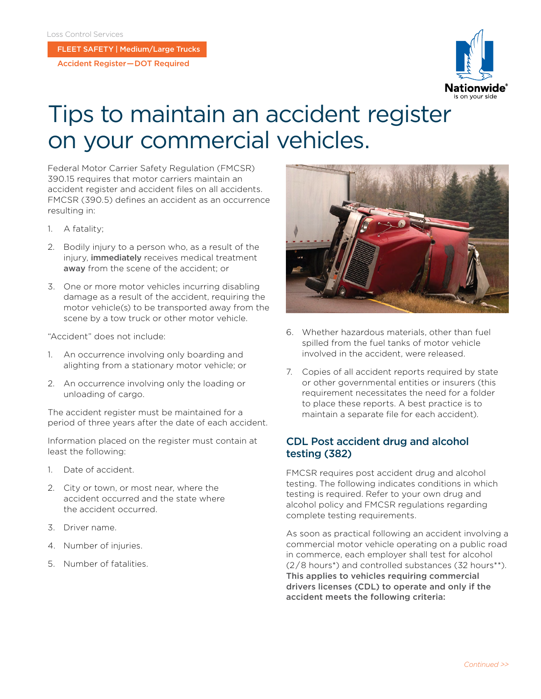FLEET SAFETY | Medium/Large Trucks

Accident Register — DOT Required



## Tips to maintain an accident register on your commercial vehicles.

Federal Motor Carrier Safety Regulation (FMCSR) 390.15 requires that motor carriers maintain an accident register and accident files on all accidents. FMCSR (390.5) defines an accident as an occurrence resulting in:

- 1. A fatality;
- 2. Bodily injury to a person who, as a result of the injury, *immediately* receives medical treatment away from the scene of the accident; or
- 3. One or more motor vehicles incurring disabling damage as a result of the accident, requiring the motor vehicle(s) to be transported away from the scene by a tow truck or other motor vehicle.

"Accident" does not include:

- 1. An occurrence involving only boarding and alighting from a stationary motor vehicle; or
- 2. An occurrence involving only the loading or unloading of cargo.

The accident register must be maintained for a period of three years after the date of each accident.

Information placed on the register must contain at least the following:

- 1. Date of accident.
- 2. City or town, or most near, where the accident occurred and the state where the accident occurred.
- 3. Driver name.
- 4. Number of injuries.
- 5. Number of fatalities.



- 6. Whether hazardous materials, other than fuel spilled from the fuel tanks of motor vehicle involved in the accident, were released.
- 7. Copies of all accident reports required by state or other governmental entities or insurers (this requirement necessitates the need for a folder to place these reports. A best practice is to maintain a separate file for each accident).

## CDL Post accident drug and alcohol testing (382)

FMCSR requires post accident drug and alcohol testing. The following indicates conditions in which testing is required. Refer to your own drug and alcohol policy and FMCSR regulations regarding complete testing requirements.

As soon as practical following an accident involving a commercial motor vehicle operating on a public road in commerce, each employer shall test for alcohol (2 / 8 hours\*) and controlled substances (32 hours\*\*). This applies to vehicles requiring commercial drivers licenses (CDL) to operate and only if the accident meets the following criteria: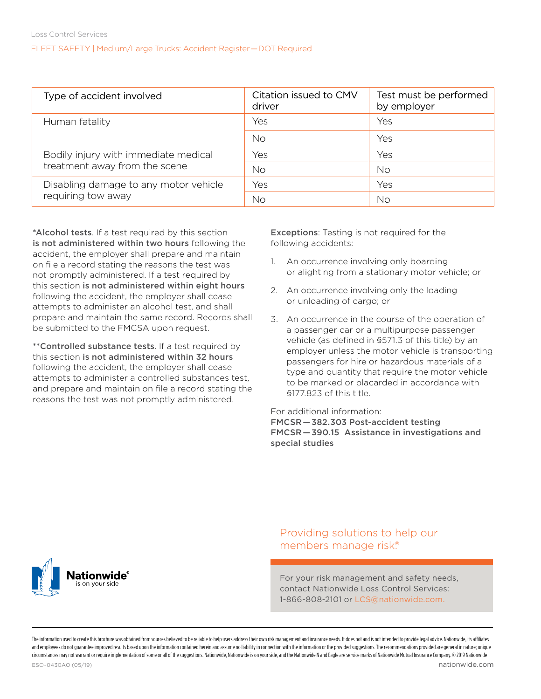FLEET SAFETY | Medium/Large Trucks: Accident Register — DOT Required

| Type of accident involved             | Citation issued to CMV<br>driver | Test must be performed<br>by employer |  |  |
|---------------------------------------|----------------------------------|---------------------------------------|--|--|
| Human fatality                        | Yes                              | Yes                                   |  |  |
|                                       | No                               | Yes                                   |  |  |
| Bodily injury with immediate medical  | Yes                              | Yes                                   |  |  |
| treatment away from the scene         | <b>No</b>                        | No                                    |  |  |
| Disabling damage to any motor vehicle | Yes                              | Yes                                   |  |  |
| requiring tow away                    | <b>No</b>                        | <b>No</b>                             |  |  |

\*Alcohol tests. If a test required by this section is not administered within two hours following the accident, the employer shall prepare and maintain on file a record stating the reasons the test was not promptly administered. If a test required by this section is not administered within eight hours following the accident, the employer shall cease attempts to administer an alcohol test, and shall prepare and maintain the same record. Records shall be submitted to the FMCSA upon request.

\*\*Controlled substance tests. If a test required by this section is not administered within 32 hours following the accident, the employer shall cease attempts to administer a controlled substances test, and prepare and maintain on file a record stating the reasons the test was not promptly administered.

Exceptions: Testing is not required for the following accidents:

- 1. An occurrence involving only boarding or alighting from a stationary motor vehicle; or
- 2. An occurrence involving only the loading or unloading of cargo; or
- 3. An occurrence in the course of the operation of a passenger car or a multipurpose passenger vehicle (as defined in §571.3 of this title) by an employer unless the motor vehicle is transporting passengers for hire or hazardous materials of a type and quantity that require the motor vehicle to be marked or placarded in accordance with §177.823 of this title.

For additional information:

[FMCSR — 382.303 Post-accident testing](https://www.ecfr.gov/cgi-bin/retrieveECFR?gp=1&ty=HTML&h=L&mc=true&=PART&n=pt49.5.382#se49.5.382_1303
) [FMCSR — 390.15 Assistance in investigations and](https://www.ecfr.gov/cgi-bin/retrieveECFR?gp=1&ty=HTML&h=L&mc=true&=PART&n=pt49.5.390#se49.5.390_115)  [special studies](https://www.ecfr.gov/cgi-bin/retrieveECFR?gp=1&ty=HTML&h=L&mc=true&=PART&n=pt49.5.390#se49.5.390_115)

ationwide

Providing solutions to help our members manage risk.®

For your risk management and safety needs, contact Nationwide Loss Control Services: 1-866-808-2101 or [LCS@nationwide.com](Mailto:LCS@nationwide.com).

The information uted to create this brochure was obtained from sources believed to be reliable to help users address the pright of princes promon and interest prince ones predict be requested to promon and interest by the and employees do not quarantee improved results based upon the information contained herein and assume no liability in connection with the information or the provided suggestions. The recommendations provided are general i circumstances may not warrant or require implementation of some or all of the suggestions. Nationwide, Nationwide is on your side, and the Nationwide N and Eagle are service marks of Nationwide Mutual Insurance Company. ©